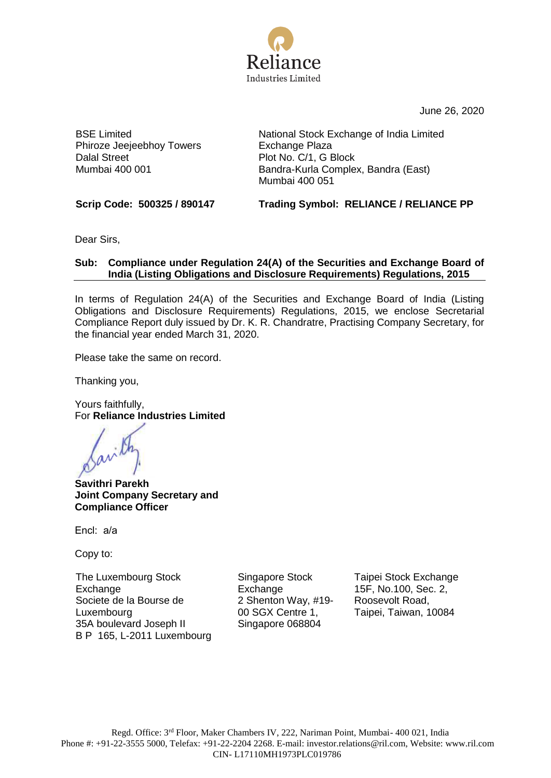

June 26, 2020

BSE Limited Phiroze Jeejeebhoy Towers Dalal Street Mumbai 400 001

National Stock Exchange of India Limited Exchange Plaza Plot No. C/1, G Block Bandra-Kurla Complex, Bandra (East) Mumbai 400 051

**Scrip Code: 500325 / 890147 Trading Symbol: RELIANCE / RELIANCE PP**

Dear Sirs,

## **Sub: Compliance under Regulation 24(A) of the Securities and Exchange Board of India (Listing Obligations and Disclosure Requirements) Regulations, 2015**

In terms of Regulation 24(A) of the Securities and Exchange Board of India (Listing Obligations and Disclosure Requirements) Regulations, 2015, we enclose Secretarial Compliance Report duly issued by Dr. K. R. Chandratre, Practising Company Secretary, for the financial year ended March 31, 2020.

Please take the same on record.

Thanking you,

Yours faithfully, For **Reliance Industries Limited**

**Savithri Parekh Joint Company Secretary and Compliance Officer**

Encl: a/a

Copy to:

The Luxembourg Stock **Exchange** Societe de la Bourse de Luxembourg 35A boulevard Joseph II B P 165, L-2011 Luxembourg Singapore Stock **Exchange** 2 Shenton Way, #19- 00 SGX Centre 1, Singapore 068804

Taipei Stock Exchange 15F, No.100, Sec. 2, Roosevolt Road, Taipei, Taiwan, 10084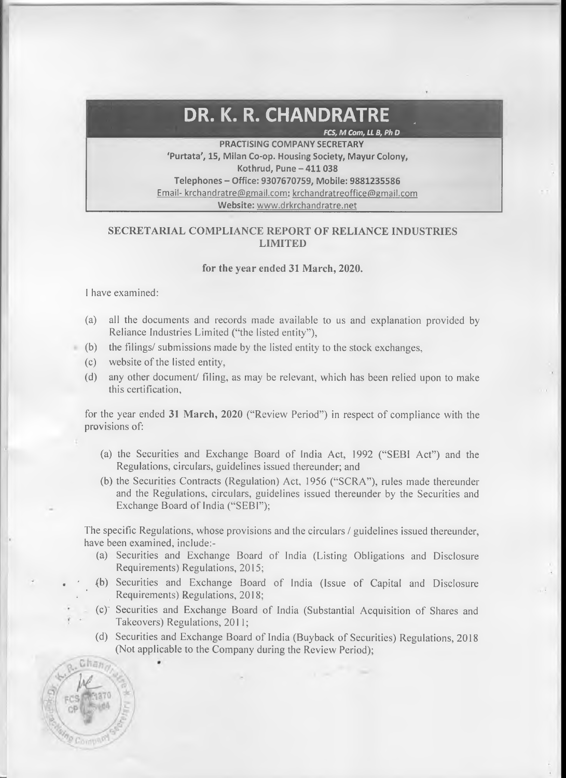## **DR. K. R. CHANDRATRE** *\**

\_\_\_\_\_\_\_\_\_\_\_\_ *FCS, M Com, LL B, Ph D*

**PRACTISING COMPANY SECRETARY 'Purtata', 15, Milan Co-op. Housing Society, Mayur Colony, Kothrud, Pune - 411 038 Telephones - Office: 9307670759, Mobile: 9881235586** Email- krchandratre@gmail.com: krchandratreoffice@gmail.com **Website:** [www.drkrchandratre.net](http://www.drkrchandratre.net)

## **SECRETARIAL COMPLIANCE REPORT OF RELIANCE INDUSTRIES LIMITED**

## **for the year ended 31 March, 2020.**

I have examined:

Chan

- (a) all the documents and records made available to us and explanation provided by Reliance Industries Limited ("the listed entity"),
- $(b)$  the filings/ submissions made by the listed entity to the stock exchanges,
	- (c) website of the listed entity,
	- (d) any other document/ filing, as may be relevant, which has been relied upon to make this certification,

for the year ended 31 March, 2020 ("Review Period") in respect of compliance with the provisions of:

- (a) the Securities and Exchange Board of India Act, 1992 ("SEBI Act") and the Regulations, circulars, guidelines issued thereunder; and
- (b) the Securities Contracts (Regulation) Act, 1956 ("SCRA"), rules made thereunder and the Regulations, circulars, guidelines issued thereunder by the Securities and Exchange Board of India ("SEBI");

The specific Regulations, whose provisions and the circulars / guidelines issued thereunder, have been examined, include:-

- (a) Securities and Exchange Board of India (Listing Obligations and Disclosure Requirements) Regulations, 2015;
- (b) Securities and Exchange Board of India (Issue of Capital and Disclosure Requirements) Regulations, 2018;
- (c) Securities and Exchange Board of India (Substantial Acquisition of Shares and Takeovers) Regulations, 2011;
- (d) Securities and Exchange Board of India (Buyback of Securities) Regulations, 2018 (Not applicable to the Company during the Review Period);